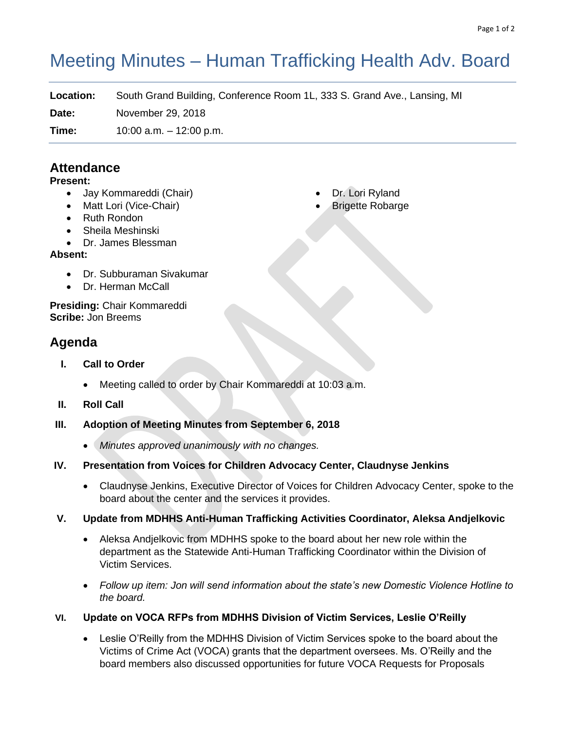# Meeting Minutes – Human Trafficking Health Adv. Board

**Location:** South Grand Building, Conference Room 1L, 333 S. Grand Ave., Lansing, MI

**Date:** November 29, 2018

**Time:** 10:00 a.m. – 12:00 p.m.

# **Attendance**

## **Present:**

- Jay Kommareddi (Chair)
- Matt Lori (Vice-Chair)
- Ruth Rondon
- Sheila Meshinski
- Dr. James Blessman

## **Absent:**

- Dr. Subburaman Sivakumar
- Dr. Herman McCall

**Presiding:** Chair Kommareddi **Scribe:** Jon Breems

# **Agenda**

- **I. Call to Order**
	- Meeting called to order by Chair Kommareddi at 10:03 a.m.
- **II. Roll Call**
- **III. Adoption of Meeting Minutes from September 6, 2018**
	- *Minutes approved unanimously with no changes.*
- **IV. Presentation from Voices for Children Advocacy Center, Claudnyse Jenkins**
	- Claudnyse Jenkins, Executive Director of Voices for Children Advocacy Center, spoke to the board about the center and the services it provides.

## **V. Update from MDHHS Anti-Human Trafficking Activities Coordinator, Aleksa Andjelkovic**

- Aleksa Andjelkovic from MDHHS spoke to the board about her new role within the department as the Statewide Anti-Human Trafficking Coordinator within the Division of Victim Services.
- *Follow up item: Jon will send information about the state's new Domestic Violence Hotline to the board.*
- **VI. Update on VOCA RFPs from MDHHS Division of Victim Services, Leslie O'Reilly**
	- Leslie O'Reilly from the MDHHS Division of Victim Services spoke to the board about the Victims of Crime Act (VOCA) grants that the department oversees. Ms. O'Reilly and the board members also discussed opportunities for future VOCA Requests for Proposals
- Dr. Lori Ryland
- **Brigette Robarge**